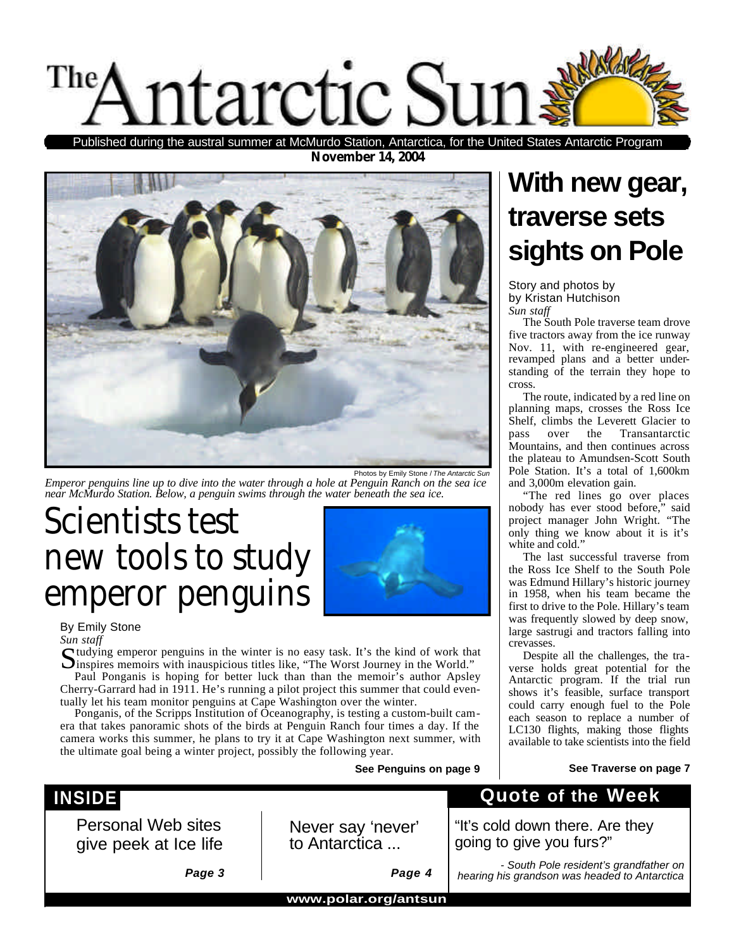

**November 14, 2004** during the austral summer at McMurdo Station, Antarctica, for the United States Antarctic Program



*Emperor penguins line up to dive into the water through a hole at Penguin Ranch on the sea ice near McMurdo Station. Below, a penguin swims through the water beneath the sea ice.*

## *Scientists test new tools to study emperor penguins*



### By Emily Stone

*Sun staff*

Sudying emperor penguins in the winter is no easy task. It's the kind of work that Sinspires memoirs with inauspicious titles like, "The Worst Journey in the World." inspires memoirs with inauspicious titles like, "The Worst Journey in the World." Paul Ponganis is hoping for better luck than than the memoir's author Apsley

Cherry-Garrard had in 1911. He's running a pilot project this summer that could eventually let his team monitor penguins at Cape Washington over the winter.

Ponganis, of the Scripps Institution of Oceanography, is testing a custom-built camera that takes panoramic shots of the birds at Penguin Ranch four times a day. If the camera works this summer, he plans to try it at Cape Washington next summer, with the ultimate goal being a winter project, possibly the following year.

**See Penguins on page 9**

### **With new gear, traverse sets sights on Pole**

Story and photos by by Kristan Hutchison *Sun staff*

The South Pole traverse team drove five tractors away from the ice runway Nov. 11, with re-engineered gear, revamped plans and a better understanding of the terrain they hope to cross.

The route, indicated by a red line on planning maps, crosses the Ross Ice Shelf, climbs the Leverett Glacier to pass over the Transantarctic Mountains, and then continues across the plateau to Amundsen-Scott South Pole Station. It's a total of 1,600km and 3,000m elevation gain.

"The red lines go over places nobody has ever stood before," said project manager John Wright. "The only thing we know about it is it's white and cold."

The last successful traverse from the Ross Ice Shelf to the South Pole was Edmund Hillary's historic journey in 1958, when his team became the first to drive to the Pole. Hillary's team was frequently slowed by deep snow, large sastrugi and tractors falling into crevasses.

Despite all the challenges, the traverse holds great potential for the Antarctic program. If the trial run shows it's feasible, surface transport could carry enough fuel to the Pole each season to replace a number of LC130 flights, making those flights available to take scientists into the field

#### **See Traverse on page 7**

### **INSIDE**

Personal Web sites give peek at Ice life

Never say 'never' to Antarctica ...

*- South Pole resident's grandfather on* 

**Quote of the Week**

"It's cold down there. Are they

*Page 3*

*Page 4*

*hearing his grandson was headed to Antarctica*

going to give you furs?"

**www.polar.org/antsun**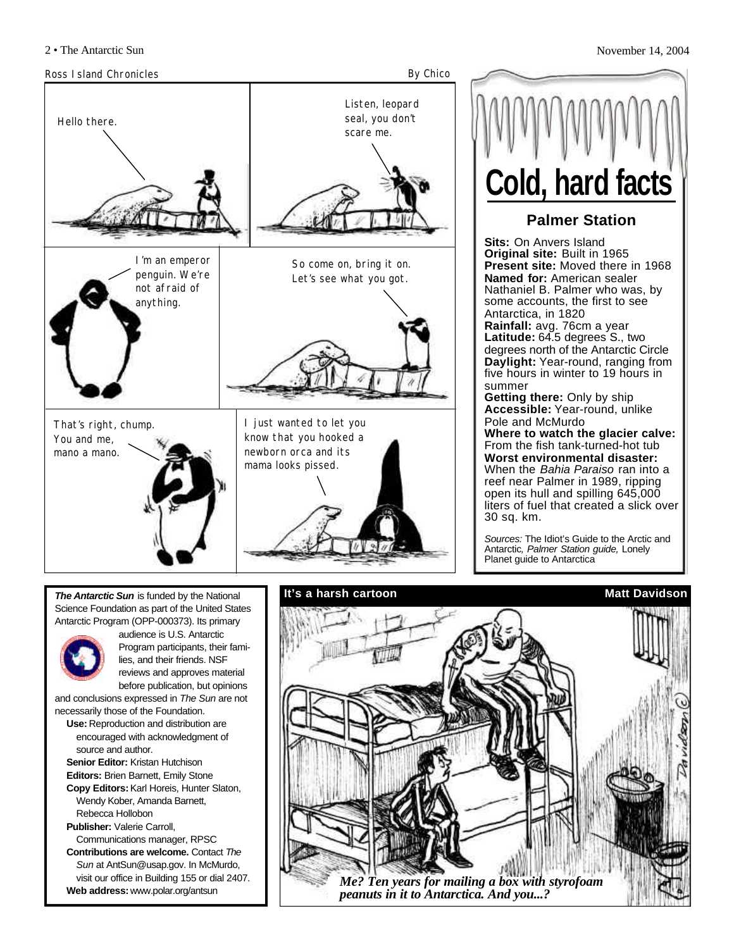

**Palmer Station Sits:** On Anvers Island **Original site:** Built in 1965 **Present site:** Moved there in 1968 **Named for:** American sealer Nathaniel B. Palmer who was, by some accounts, the first to see Antarctica, in 1820 **Rainfall:** avg. 76cm a year **Latitude:** 64.5 degrees S., two degrees north of the Antarctic Circle **Daylight:** Year-round, ranging from five hours in winter to 19 hours in summer **Getting there:** Only by ship **Accessible:** Year-round, unlike Pole and McMurdo **Where to watch the glacier calve:** From the fish tank-turned-hot tub **Worst environmental disaster:** When the *Bahia Paraiso* ran into a reef near Palmer in 1989, ripping open its hull and spilling 645,000 liters of fuel that created a slick over 30 sq. km. **Cold, hard facts**

*Sources:* The Idiot's Guide to the Arctic and Antarctic*, Palmer Station guide,* Lonely Planet guide to Antarctica

*The Antarctic Sun* is funded by the National Science Foundation as part of the United States Antarctic Program (OPP-000373). Its primary



audience is U.S. Antarctic Program participants, their families, and their friends. NSF reviews and approves material before publication, but opinions

and conclusions expressed in *The Sun* are not necessarily those of the Foundation.

- **Use:** Reproduction and distribution are encouraged with acknowledgment of source and author.
- **Senior Editor:** Kristan Hutchison **Editors:** Brien Barnett, Emily Stone **Copy Editors:**Karl Horeis, Hunter Slaton, Wendy Kober, Amanda Barnett,
- Rebecca Hollobon **Publisher:** Valerie Carroll, Communications manager, RPSC

**Contributions are welcome.** Contact *The Sun* at AntSun@usap.gov. In McMurdo, visit our office in Building 155 or dial 2407. **Web address:** www.polar.org/antsun

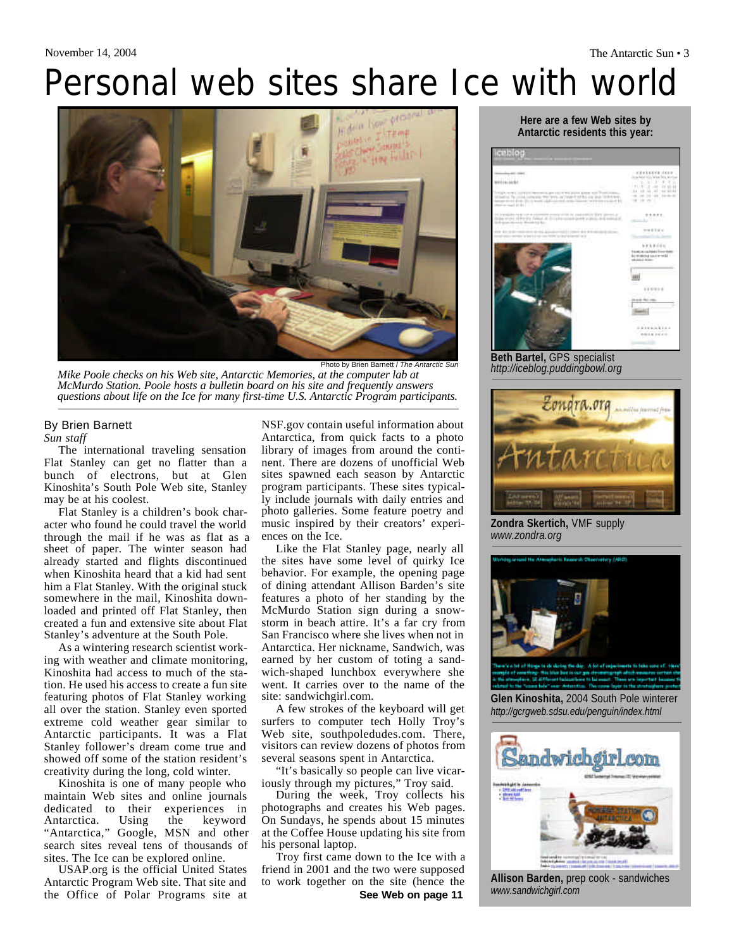# Personal web sites share Ice with world



*Mike Poole checks on his Web site, Antarctic Memories, at the computer lab at McMurdo Station. Poole hosts a bulletin board on his site and frequently answers questions about life on the Ice for many first-time U.S. Antarctic Program participants.*

### By Brien Barnett

*Sun staff*

The international traveling sensation Flat Stanley can get no flatter than a bunch of electrons, but at Glen Kinoshita's South Pole Web site, Stanley may be at his coolest.

Flat Stanley is a children's book character who found he could travel the world through the mail if he was as flat as a sheet of paper. The winter season had already started and flights discontinued when Kinoshita heard that a kid had sent him a Flat Stanley. With the original stuck somewhere in the mail, Kinoshita downloaded and printed off Flat Stanley, then created a fun and extensive site about Flat Stanley's adventure at the South Pole.

As a wintering research scientist working with weather and climate monitoring, Kinoshita had access to much of the station. He used his access to create a fun site featuring photos of Flat Stanley working all over the station. Stanley even sported extreme cold weather gear similar to Antarctic participants. It was a Flat Stanley follower's dream come true and showed off some of the station resident's creativity during the long, cold winter.

Kinoshita is one of many people who maintain Web sites and online journals dedicated to their experiences in Antarctica. Using the keyword "Antarctica," Google, MSN and other search sites reveal tens of thousands of sites. The Ice can be explored online.

USAP.org is the official United States Antarctic Program Web site. That site and the Office of Polar Programs site at NSF.gov contain useful information about Antarctica, from quick facts to a photo library of images from around the continent. There are dozens of unofficial Web sites spawned each season by Antarctic program participants. These sites typically include journals with daily entries and photo galleries. Some feature poetry and music inspired by their creators' experiences on the Ice.

Like the Flat Stanley page, nearly all the sites have some level of quirky Ice behavior. For example, the opening page of dining attendant Allison Barden's site features a photo of her standing by the McMurdo Station sign during a snowstorm in beach attire. It's a far cry from San Francisco where she lives when not in Antarctica. Her nickname, Sandwich, was earned by her custom of toting a sandwich-shaped lunchbox everywhere she went. It carries over to the name of the site: sandwichgirl.com.

A few strokes of the keyboard will get surfers to computer tech Holly Troy's Web site, southpoledudes.com. There, visitors can review dozens of photos from several seasons spent in Antarctica.

"It's basically so people can live vicariously through my pictures," Troy said.

During the week, Troy collects his photographs and creates his Web pages. On Sundays, he spends about 15 minutes at the Coffee House updating his site from his personal laptop.

Troy first came down to the Ice with a friend in 2001 and the two were supposed to work together on the site (hence the

#### **Here are a few Web sites by Antarctic residents this year:**



*http://iceblog.puddingbowl.org*



**Zondra Skertich,** VMF supply *www.zondra.org*



**Glen Kinoshita,** 2004 South Pole winterer *http://gcrgweb.sdsu.edu/penguin/index.html*



**Allison Barden,** prep cook - sandwiches *www.sandwichgirl.com*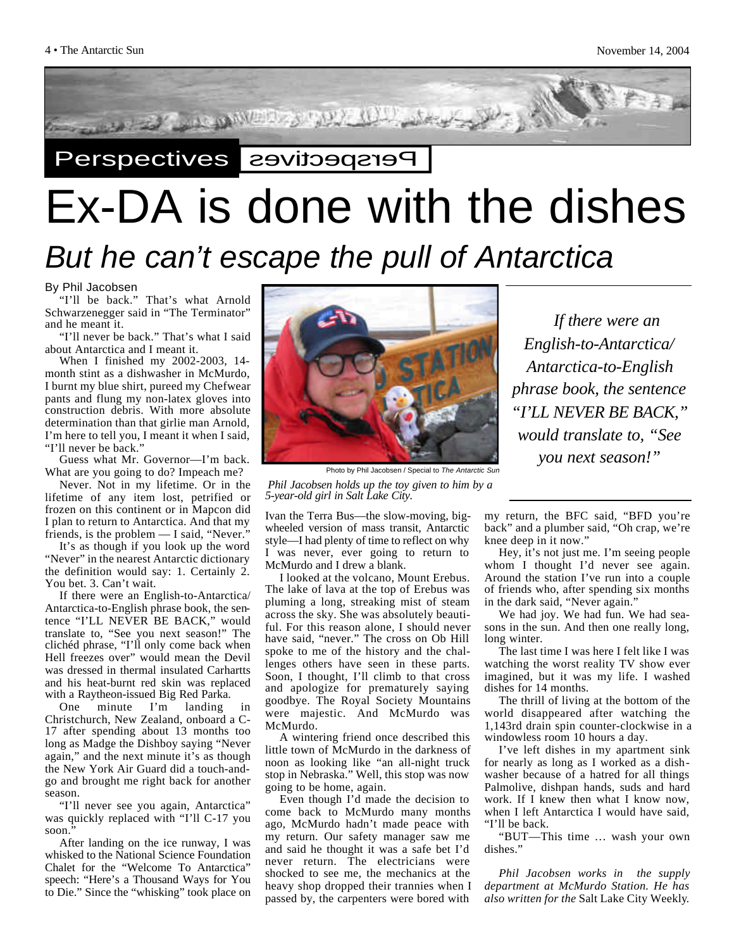

# Ex-DA is done with the dishes

### *But he can't escape the pull of Antarctica*

By Phil Jacobsen

"I'll be back." That's what Arnold Schwarzenegger said in "The Terminator" and he meant it.

"I'll never be back." That's what I said about Antarctica and I meant it.

When I finished my 2002-2003, 14 month stint as a dishwasher in McMurdo, I burnt my blue shirt, pureed my Chefwear pants and flung my non-latex gloves into construction debris. With more absolute determination than that girlie man Arnold, I'm here to tell you, I meant it when I said, "I'll never be back."

Guess what Mr. Governor—I'm back. What are you going to do? Impeach me?

Never. Not in my lifetime. Or in the lifetime of any item lost, petrified or frozen on this continent or in Mapcon did I plan to return to Antarctica. And that my friends, is the problem — I said, "Never."

It's as though if you look up the word "Never" in the nearest Antarctic dictionary the definition would say: 1. Certainly 2. You bet. 3. Can't wait.

If there were an English-to-Antarctica/ Antarctica-to-English phrase book, the sentence "I'LL NEVER BE BACK," would translate to, "See you next season!" The clichéd phrase, "I'll only come back when Hell freezes over" would mean the Devil was dressed in thermal insulated Carhartts and his heat-burnt red skin was replaced with a Raytheon-issued Big Red Parka.

One minute I'm landing in Christchurch, New Zealand, onboard a C-17 after spending about 13 months too long as Madge the Dishboy saying "Never again," and the next minute it's as though the New York Air Guard did a touch-andgo and brought me right back for another season.

"I'll never see you again, Antarctica" was quickly replaced with "I'll C-17 you soon."

After landing on the ice runway, I was whisked to the National Science Foundation Chalet for the "Welcome To Antarctica" speech: "Here's a Thousand Ways for You to Die." Since the "whisking" took place on



Photo by Phil Jacobsen / Special to *The Antarctic Sun*

*Phil Jacobsen holds up the toy given to him by a 5-year-old girl in Salt Lake City.*

Ivan the Terra Bus—the slow-moving, bigwheeled version of mass transit, Antarctic style—I had plenty of time to reflect on why I was never, ever going to return to McMurdo and I drew a blank.

I looked at the volcano, Mount Erebus. The lake of lava at the top of Erebus was pluming a long, streaking mist of steam across the sky. She was absolutely beautiful. For this reason alone, I should never have said, "never." The cross on Ob Hill spoke to me of the history and the challenges others have seen in these parts. Soon, I thought, I'll climb to that cross and apologize for prematurely saying goodbye. The Royal Society Mountains were majestic. And McMurdo was McMurdo.

A wintering friend once described this little town of McMurdo in the darkness of noon as looking like "an all-night truck stop in Nebraska." Well, this stop was now going to be home, again.

Even though I'd made the decision to come back to McMurdo many months ago, McMurdo hadn't made peace with my return. Our safety manager saw me and said he thought it was a safe bet I'd never return. The electricians were shocked to see me, the mechanics at the heavy shop dropped their trannies when I passed by, the carpenters were bored with

*If there were an English-to-Antarctica/ Antarctica-to-English phrase book, the sentence "I'LL NEVER BE BACK," would translate to, "See you next season!"* 

my return, the BFC said, "BFD you're back" and a plumber said, "Oh crap, we're knee deep in it now."

Hey, it's not just me. I'm seeing people whom I thought I'd never see again. Around the station I've run into a couple of friends who, after spending six months in the dark said, "Never again."

We had joy. We had fun. We had seasons in the sun. And then one really long, long winter.

The last time I was here I felt like I was watching the worst reality TV show ever imagined, but it was my life. I washed dishes for 14 months.

The thrill of living at the bottom of the world disappeared after watching the 1,143rd drain spin counter-clockwise in a windowless room 10 hours a day.

I've left dishes in my apartment sink for nearly as long as I worked as a dishwasher because of a hatred for all things Palmolive, dishpan hands, suds and hard work. If I knew then what I know now, when I left Antarctica I would have said, "I'll be back.

"BUT—This time … wash your own dishes."

*Phil Jacobsen works in the supply department at McMurdo Station. He has also written for the* Salt Lake City Weekly*.*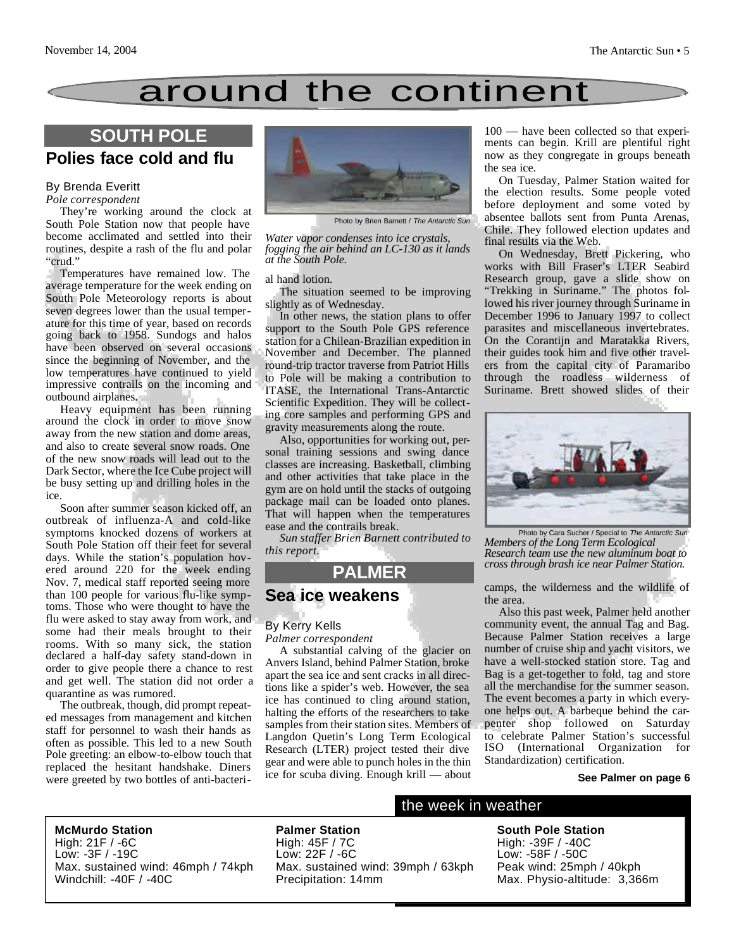### around the continent

### **SOUTH POLE**

### **Polies face cold and flu**

### By Brenda Everitt

*Pole correspondent*

They're working around the clock at South Pole Station now that people have become acclimated and settled into their routines, despite a rash of the flu and polar "crud."

Temperatures have remained low. The average temperature for the week ending on South Pole Meteorology reports is about seven degrees lower than the usual temperature for this time of year, based on records going back to 1958. Sundogs and halos have been observed on several occasions since the beginning of November, and the low temperatures have continued to yield impressive contrails on the incoming and outbound airplanes.

Heavy equipment has been running around the clock in order to move snow away from the new station and dome areas, and also to create several snow roads. One of the new snow roads will lead out to the Dark Sector, where the Ice Cube project will be busy setting up and drilling holes in the ice.

Soon after summer season kicked off, an outbreak of influenza-A and cold-like symptoms knocked dozens of workers at South Pole Station off their feet for several days. While the station's population hovered around 220 for the week ending Nov. 7, medical staff reported seeing more than 100 people for various flu-like symptoms. Those who were thought to have the flu were asked to stay away from work, and some had their meals brought to their rooms. With so many sick, the station declared a half-day safety stand-down in order to give people there a chance to rest and get well. The station did not order a quarantine as was rumored.

The outbreak, though, did prompt repeated messages from management and kitchen staff for personnel to wash their hands as often as possible. This led to a new South Pole greeting: an elbow-to-elbow touch that replaced the hesitant handshake. Diners were greeted by two bottles of anti-bacteri-



Photo by Brien Barnett / *The Antarctic Sun*

*Water vapor condenses into ice crystals, fogging the air behind an LC-130 as it lands at the South Pole.*

#### al hand lotion.

The situation seemed to be improving slightly as of Wednesday.

In other news, the station plans to offer support to the South Pole GPS reference station for a Chilean-Brazilian expedition in November and December. The planned round-trip tractor traverse from Patriot Hills to Pole will be making a contribution to ITASE, the International Trans-Antarctic Scientific Expedition. They will be collecting core samples and performing GPS and gravity measurements along the route.

Also, opportunities for working out, personal training sessions and swing dance classes are increasing. Basketball, climbing and other activities that take place in the gym are on hold until the stacks of outgoing package mail can be loaded onto planes. That will happen when the temperatures ease and the contrails break.

*Sun staffer Brien Barnett contributed to this report.*

### **PALMER**

### **Sea ice weakens**

#### By Kerry Kells

*Palmer correspondent*

A substantial calving of the glacier on Anvers Island, behind Palmer Station, broke apart the sea ice and sent cracks in all directions like a spider's web. However, the sea ice has continued to cling around station, halting the efforts of the researchers to take samples from their station sites. Members of Langdon Quetin's Long Term Ecological Research (LTER) project tested their dive gear and were able to punch holes in the thin ice for scuba diving. Enough krill — about

100 — have been collected so that experiments can begin. Krill are plentiful right now as they congregate in groups beneath the sea ice.

On Tuesday, Palmer Station waited for the election results. Some people voted before deployment and some voted by absentee ballots sent from Punta Arenas, Chile. They followed election updates and final results via the Web.

On Wednesday, Brett Pickering, who works with Bill Fraser's LTER Seabird Research group, gave a slide show on "Trekking in Suriname." The photos followed his river journey through Suriname in December 1996 to January 1997 to collect parasites and miscellaneous invertebrates. On the Corantijn and Maratakka Rivers, their guides took him and five other travelers from the capital city of Paramaribo through the roadless wilderness of Suriname. Brett showed slides of their



Photo by Cara Sucher / Special to *The Antarctic Sun Members of the Long Term Ecological Research team use the new aluminum boat to cross through brash ice near Palmer Station.*

camps, the wilderness and the wildlife of the area.

Also this past week, Palmer held another community event, the annual Tag and Bag. Because Palmer Station receives a large number of cruise ship and yacht visitors, we have a well-stocked station store. Tag and Bag is a get-together to fold, tag and store all the merchandise for the summer season. The event becomes a party in which everyone helps out. A barbeque behind the carpenter shop followed on Saturday to celebrate Palmer Station's successful ISO (International Organization for Standardization) certification.

#### **See Palmer on page 6**

**McMurdo Station** High: 21F / -6C Low: -3F / -19C Max. sustained wind: 46mph / 74kph Windchill: -40F / -40C

**Palmer Station** High: 45F / 7C Low: 22F / -6C Max. sustained wind: 39mph / 63kph Precipitation: 14mm

### the week in weather

**South Pole Station** High: -39F / -40C Low: -58F / -50C Peak wind: 25mph / 40kph Max. Physio-altitude: 3,366m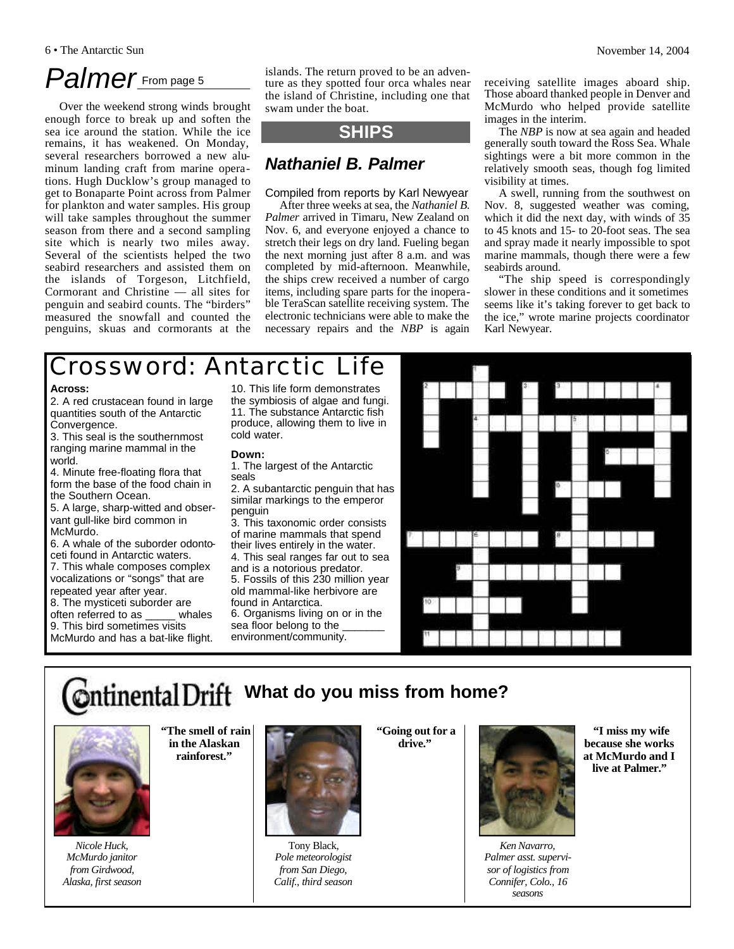### Palmer<sub>From page 5</sub>

Over the weekend strong winds brought enough force to break up and soften the sea ice around the station. While the ice remains, it has weakened. On Monday, several researchers borrowed a new aluminum landing craft from marine operations. Hugh Ducklow's group managed to get to Bonaparte Point across from Palmer for plankton and water samples. His group will take samples throughout the summer season from there and a second sampling site which is nearly two miles away. Several of the scientists helped the two seabird researchers and assisted them on the islands of Torgeson, Litchfield, Cormorant and Christine — all sites for penguin and seabird counts. The "birders" measured the snowfall and counted the penguins, skuas and cormorants at the islands. The return proved to be an adventure as they spotted four orca whales near the island of Christine, including one that swam under the boat.

### **SHIPS**

### *Nathaniel B. Palmer*

### Compiled from reports by Karl Newyear

After three weeks at sea, the *Nathaniel B. Palmer* arrived in Timaru, New Zealand on Nov. 6, and everyone enjoyed a chance to stretch their legs on dry land. Fueling began the next morning just after 8 a.m. and was completed by mid-afternoon. Meanwhile, the ships crew received a number of cargo items, including spare parts for the inoperable TeraScan satellite receiving system. The electronic technicians were able to make the necessary repairs and the *NBP* is again

receiving satellite images aboard ship. Those aboard thanked people in Denver and McMurdo who helped provide satellite images in the interim.

The *NBP* is now at sea again and headed generally south toward the Ross Sea. Whale sightings were a bit more common in the relatively smooth seas, though fog limited visibility at times.

A swell, running from the southwest on Nov. 8, suggested weather was coming, which it did the next day, with winds of 35 to 45 knots and 15- to 20-foot seas. The sea and spray made it nearly impossible to spot marine mammals, though there were a few seabirds around.

"The ship speed is correspondingly slower in these conditions and it sometimes seems like it's taking forever to get back to the ice," wrote marine projects coordinator Karl Newyear.

### Crossword: Antarctic Life

#### **Across:**

2. A red crustacean found in large quantities south of the Antarctic Convergence.

3. This seal is the southernmost ranging marine mammal in the world.

4. Minute free-floating flora that form the base of the food chain in the Southern Ocean.

5. A large, sharp-witted and observant gull-like bird common in McMurdo.

6. A whale of the suborder odontoceti found in Antarctic waters.

7. This whale composes complex vocalizations or "songs" that are repeated year after year.

8. The mysticeti suborder are<br>often referred to as whales often referred to as 9. This bird sometimes visits

McMurdo and has a bat-like flight.

10. This life form demonstrates the symbiosis of algae and fungi. 11. The substance Antarctic fish produce, allowing them to live in cold water.

#### **Down:**

1. The largest of the Antarctic seals

2. A subantarctic penguin that has similar markings to the emperor penguin

3. This taxonomic order consists of marine mammals that spend their lives entirely in the water.

4. This seal ranges far out to sea and is a notorious predator.

5. Fossils of this 230 million year old mammal-like herbivore are found in Antarctica.

6. Organisms living on or in the sea floor belong to the environment/community.



### **What do you miss from home?**



**"The smell of rain in the Alaskan**

*Nicole Huck, McMurdo janitor from Girdwood, Alaska, first season*

**rainforest."** 



Tony Black, *Pole meteorologist from San Diego, Calif., third season*

**"Going out for a drive."** 



*Ken Navarro, Palmer asst. supervisor of logistics from Connifer, Colo., 16 seasons*

**"I miss my wife because she works at McMurdo and I live at Palmer."**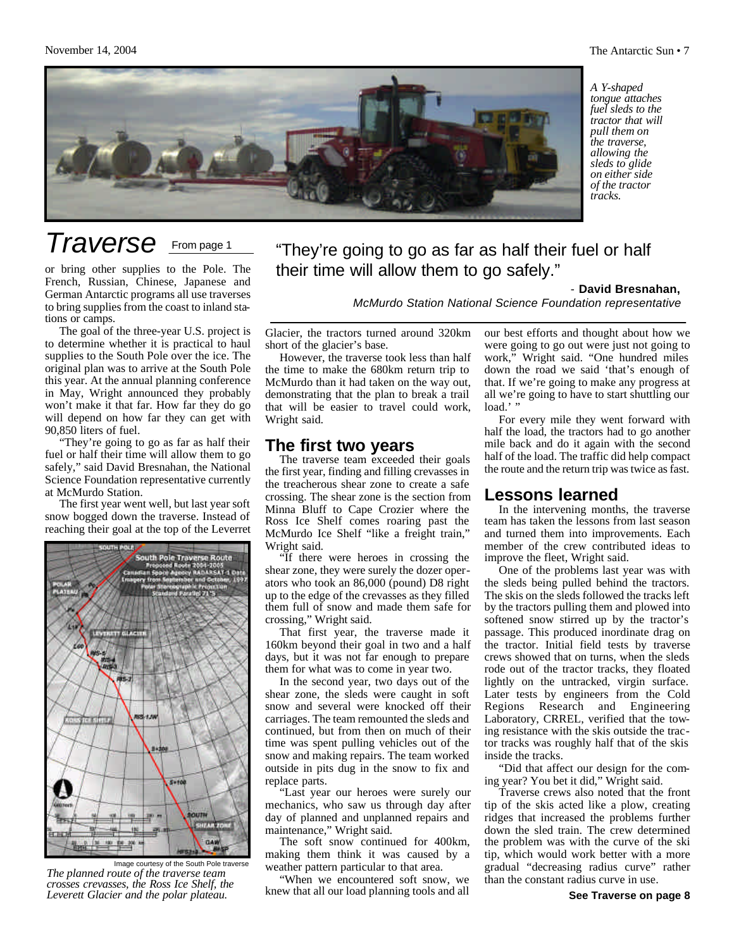

*A Y-shaped tongue attaches fuel sleds to the tractor that will pull them on the traverse, allowing the sleds to glide on either side of the tractor tracks.*

### *Traverse* From page 1

or bring other supplies to the Pole. The French, Russian, Chinese, Japanese and German Antarctic programs all use traverses to bring supplies from the coast to inland stations or camps.

The goal of the three-year U.S. project is to determine whether it is practical to haul supplies to the South Pole over the ice. The original plan was to arrive at the South Pole this year. At the annual planning conference in May, Wright announced they probably won't make it that far. How far they do go will depend on how far they can get with 90,850 liters of fuel.

"They're going to go as far as half their fuel or half their time will allow them to go safely," said David Bresnahan, the National Science Foundation representative currently at McMurdo Station.

The first year went well, but last year soft snow bogged down the traverse. Instead of reaching their goal at the top of the Leverret



Image courtesy of the South Pole traverse *The planned route of the traverse team crosses crevasses, the Ross Ice Shelf, the Leverett Glacier and the polar plateau.*

"They're going to go as far as half their fuel or half their time will allow them to go safely."

- **David Bresnahan,**

*McMurdo Station National Science Foundation representative*

Glacier, the tractors turned around 320km short of the glacier's base.

However, the traverse took less than half the time to make the 680km return trip to McMurdo than it had taken on the way out, demonstrating that the plan to break a trail that will be easier to travel could work, Wright said.

### **The first two years**

The traverse team exceeded their goals the first year, finding and filling crevasses in the treacherous shear zone to create a safe crossing. The shear zone is the section from Minna Bluff to Cape Crozier where the Ross Ice Shelf comes roaring past the McMurdo Ice Shelf "like a freight train," Wright said.

If there were heroes in crossing the shear zone, they were surely the dozer operators who took an 86,000 (pound) D8 right up to the edge of the crevasses as they filled them full of snow and made them safe for crossing," Wright said.

That first year, the traverse made it 160km beyond their goal in two and a half days, but it was not far enough to prepare them for what was to come in year two.

In the second year, two days out of the shear zone, the sleds were caught in soft snow and several were knocked off their carriages. The team remounted the sleds and continued, but from then on much of their time was spent pulling vehicles out of the snow and making repairs. The team worked outside in pits dug in the snow to fix and replace parts.

"Last year our heroes were surely our mechanics, who saw us through day after day of planned and unplanned repairs and maintenance," Wright said.

The soft snow continued for 400km, making them think it was caused by a weather pattern particular to that area.

"When we encountered soft snow, we knew that all our load planning tools and all our best efforts and thought about how we were going to go out were just not going to work," Wright said. "One hundred miles down the road we said 'that's enough of that. If we're going to make any progress at all we're going to have to start shuttling our  $load.'$ 

For every mile they went forward with half the load, the tractors had to go another mile back and do it again with the second half of the load. The traffic did help compact the route and the return trip was twice as fast.

### **Lessons learned**

In the intervening months, the traverse team has taken the lessons from last season and turned them into improvements. Each member of the crew contributed ideas to improve the fleet, Wright said.

One of the problems last year was with the sleds being pulled behind the tractors. The skis on the sleds followed the tracks left by the tractors pulling them and plowed into softened snow stirred up by the tractor's passage. This produced inordinate drag on the tractor. Initial field tests by traverse crews showed that on turns, when the sleds rode out of the tractor tracks, they floated lightly on the untracked, virgin surface. Later tests by engineers from the Cold Regions Research and Engineering Laboratory, CRREL, verified that the towing resistance with the skis outside the tractor tracks was roughly half that of the skis inside the tracks.

"Did that affect our design for the coming year? You bet it did," Wright said.

Traverse crews also noted that the front tip of the skis acted like a plow, creating ridges that increased the problems further down the sled train. The crew determined the problem was with the curve of the ski tip, which would work better with a more gradual "decreasing radius curve" rather than the constant radius curve in use.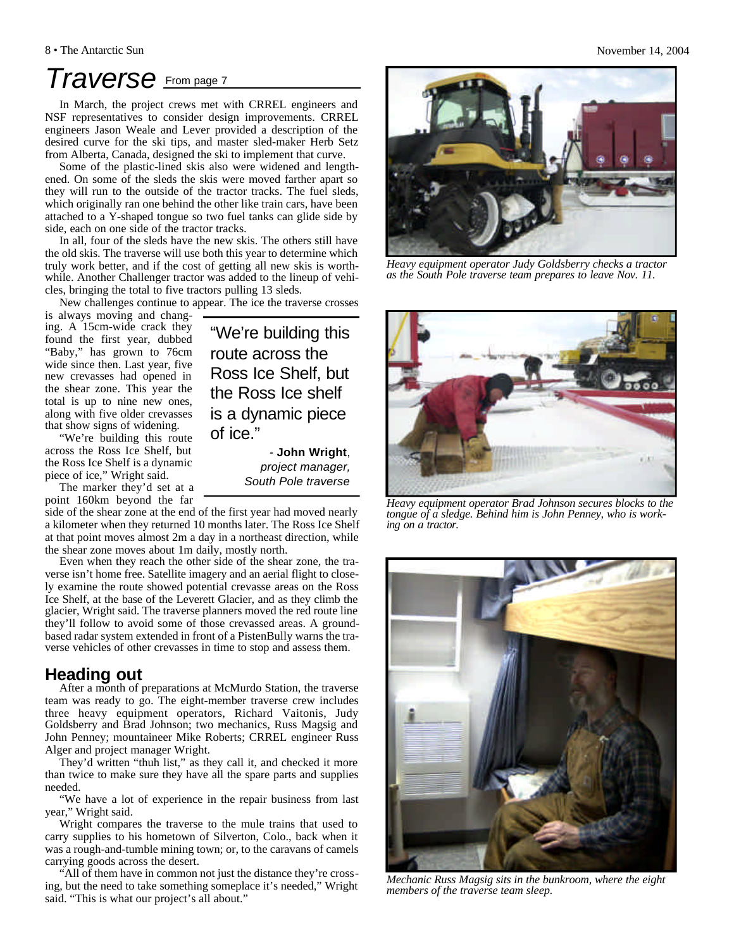### *Traverse* From page 7

In March, the project crews met with CRREL engineers and NSF representatives to consider design improvements. CRREL engineers Jason Weale and Lever provided a description of the desired curve for the ski tips, and master sled-maker Herb Setz from Alberta, Canada, designed the ski to implement that curve.

Some of the plastic-lined skis also were widened and lengthened. On some of the sleds the skis were moved farther apart so they will run to the outside of the tractor tracks. The fuel sleds, which originally ran one behind the other like train cars, have been attached to a Y-shaped tongue so two fuel tanks can glide side by side, each on one side of the tractor tracks.

In all, four of the sleds have the new skis. The others still have the old skis. The traverse will use both this year to determine which truly work better, and if the cost of getting all new skis is worthwhile. Another Challenger tractor was added to the lineup of vehicles, bringing the total to five tractors pulling 13 sleds.

New challenges continue to appear. The ice the traverse crosses

is always moving and changing. A 15cm-wide crack they found the first year, dubbed "Baby," has grown to 76cm wide since then. Last year, five new crevasses had opened in the shear zone. This year the total is up to nine new ones, along with five older crevasses that show signs of widening.

"We're building this route across the Ross Ice Shelf, but the Ross Ice Shelf is a dynamic piece of ice," Wright said.

The marker they'd set at a point 160km beyond the far

side of the shear zone at the end of the first year had moved nearly a kilometer when they returned 10 months later. The Ross Ice Shelf at that point moves almost 2m a day in a northeast direction, while the shear zone moves about 1m daily, mostly north.

Even when they reach the other side of the shear zone, the traverse isn't home free. Satellite imagery and an aerial flight to closely examine the route showed potential crevasse areas on the Ross Ice Shelf, at the base of the Leverett Glacier, and as they climb the glacier, Wright said. The traverse planners moved the red route line they'll follow to avoid some of those crevassed areas. A groundbased radar system extended in front of a PistenBully warns the traverse vehicles of other crevasses in time to stop and assess them.

### **Heading out**

After a month of preparations at McMurdo Station, the traverse team was ready to go. The eight-member traverse crew includes three heavy equipment operators, Richard Vaitonis, Judy Goldsberry and Brad Johnson; two mechanics, Russ Magsig and John Penney; mountaineer Mike Roberts; CRREL engineer Russ Alger and project manager Wright.

They'd written "thuh list," as they call it, and checked it more than twice to make sure they have all the spare parts and supplies needed.

"We have a lot of experience in the repair business from last year," Wright said.

Wright compares the traverse to the mule trains that used to carry supplies to his hometown of Silverton, Colo., back when it was a rough-and-tumble mining town; or, to the caravans of camels carrying goods across the desert.

"All of them have in common not just the distance they're crossing, but the need to take something someplace it's needed," Wright said. "This is what our project's all about."

is a dynamic piece of ice." - **John Wright**, *project manager, South Pole traverse* 

"We're building this route across the Ross Ice Shelf, but the Ross Ice shelf



*Heavy equipment operator Judy Goldsberry checks a tractor as the South Pole traverse team prepares to leave Nov. 11.*



*Heavy equipment operator Brad Johnson secures blocks to the tongue of a sledge. Behind him is John Penney, who is working on a tractor.*



*Mechanic Russ Magsig sits in the bunkroom, where the eight members of the traverse team sleep.*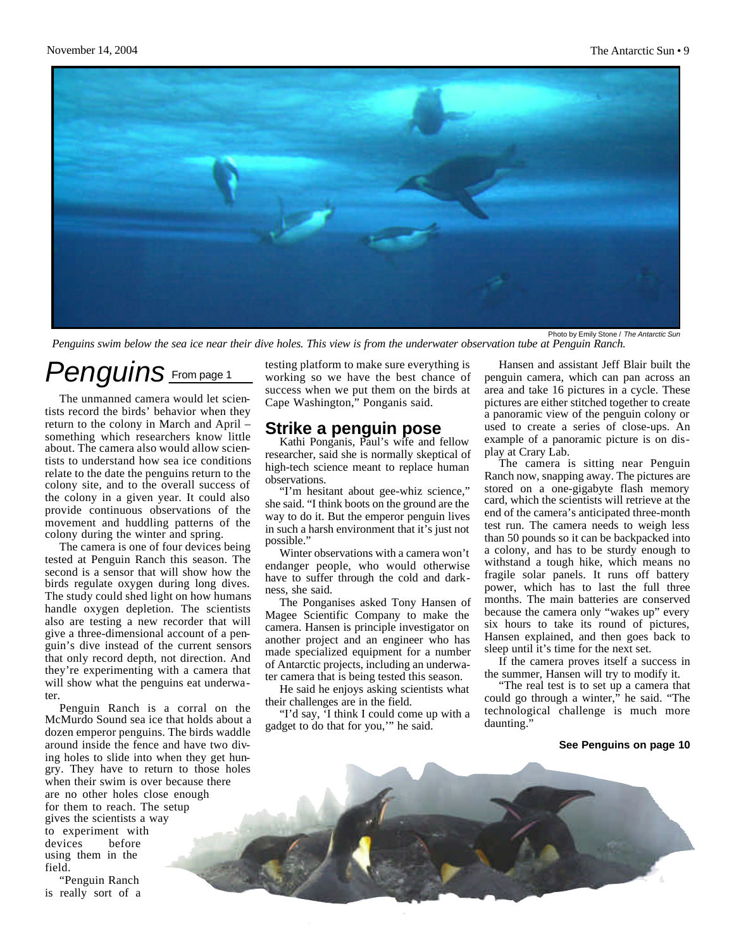

*Penguins swim below the sea ice near their dive holes. This view is from the underwater observation tube at Penguin Ranch.*

### *Penguins* From page 1

The unmanned camera would let scientists record the birds' behavior when they return to the colony in March and April – something which researchers know little about. The camera also would allow scientists to understand how sea ice conditions relate to the date the penguins return to the colony site, and to the overall success of the colony in a given year. It could also provide continuous observations of the movement and huddling patterns of the colony during the winter and spring.

The camera is one of four devices being tested at Penguin Ranch this season. The second is a sensor that will show how the birds regulate oxygen during long dives. The study could shed light on how humans handle oxygen depletion. The scientists also are testing a new recorder that will give a three-dimensional account of a penguin's dive instead of the current sensors that only record depth, not direction. And they're experimenting with a camera that will show what the penguins eat underwater.

Penguin Ranch is a corral on the McMurdo Sound sea ice that holds about a dozen emperor penguins. The birds waddle around inside the fence and have two diving holes to slide into when they get hungry. They have to return to those holes when their swim is over because there are no other holes close enough for them to reach. The setup gives the scientists a way to experiment with devices before using them in the field.

"Penguin Ranch is really sort of a testing platform to make sure everything is working so we have the best chance of success when we put them on the birds at Cape Washington," Ponganis said.

### **Strike a penguin pose**

Kathi Ponganis, Paul's wife and fellow researcher, said she is normally skeptical of high-tech science meant to replace human observations.

"I'm hesitant about gee-whiz science," she said. "I think boots on the ground are the way to do it. But the emperor penguin lives in such a harsh environment that it's just not possible."

Winter observations with a camera won't endanger people, who would otherwise have to suffer through the cold and darkness, she said.

The Ponganises asked Tony Hansen of Magee Scientific Company to make the camera. Hansen is principle investigator on another project and an engineer who has made specialized equipment for a number of Antarctic projects, including an underwater camera that is being tested this season.

He said he enjoys asking scientists what their challenges are in the field.

"I'd say, 'I think I could come up with a gadget to do that for you,'" he said.

Hansen and assistant Jeff Blair built the penguin camera, which can pan across an area and take 16 pictures in a cycle. These pictures are either stitched together to create a panoramic view of the penguin colony or used to create a series of close-ups. An example of a panoramic picture is on display at Crary Lab.

The camera is sitting near Penguin Ranch now, snapping away. The pictures are stored on a one-gigabyte flash memory card, which the scientists will retrieve at the end of the camera's anticipated three-month test run. The camera needs to weigh less than 50 pounds so it can be backpacked into a colony, and has to be sturdy enough to withstand a tough hike, which means no fragile solar panels. It runs off battery power, which has to last the full three months. The main batteries are conserved because the camera only "wakes up" every six hours to take its round of pictures, Hansen explained, and then goes back to sleep until it's time for the next set.

If the camera proves itself a success in the summer, Hansen will try to modify it.

"The real test is to set up a camera that could go through a winter," he said. "The technological challenge is much more daunting."

#### **See Penguins on page 10**

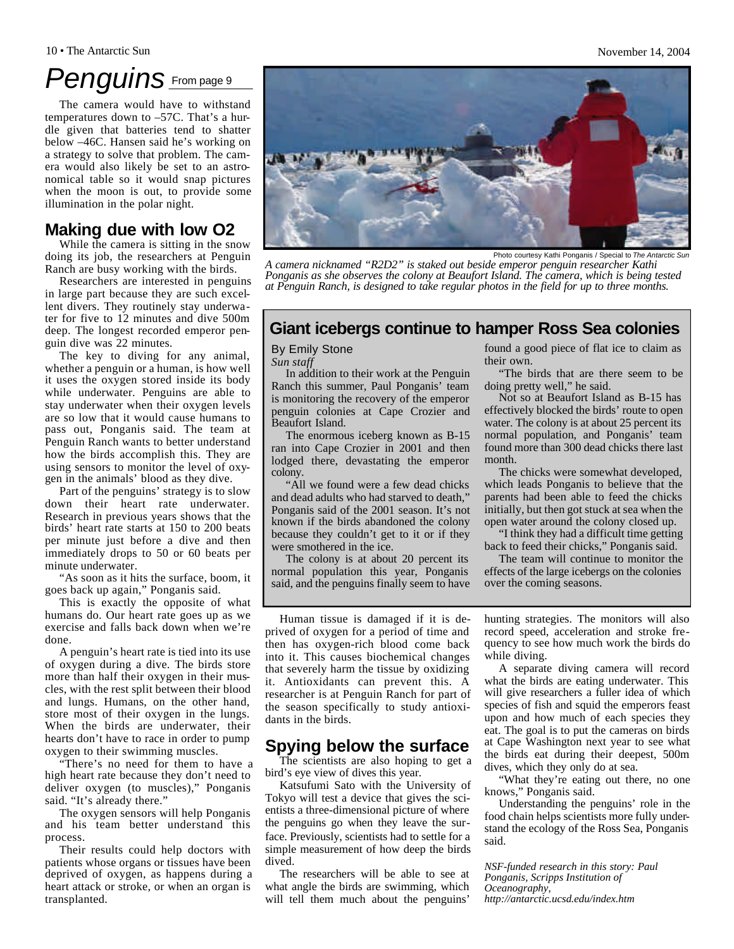#### 10 • The Antarctic Sun November 14, 2004

### *Penguins* From page 9

The camera would have to withstand temperatures down to –57C. That's a hurdle given that batteries tend to shatter below –46C. Hansen said he's working on a strategy to solve that problem. The camera would also likely be set to an astronomical table so it would snap pictures when the moon is out, to provide some illumination in the polar night.

### **Making due with low O2**

While the camera is sitting in the snow doing its job, the researchers at Penguin Ranch are busy working with the birds.

Researchers are interested in penguins in large part because they are such excellent divers. They routinely stay underwater for five to 12 minutes and dive 500m deep. The longest recorded emperor penguin dive was 22 minutes.

The key to diving for any animal, whether a penguin or a human, is how well it uses the oxygen stored inside its body while underwater. Penguins are able to stay underwater when their oxygen levels are so low that it would cause humans to pass out, Ponganis said. The team at Penguin Ranch wants to better understand how the birds accomplish this. They are using sensors to monitor the level of oxygen in the animals' blood as they dive.

Part of the penguins' strategy is to slow down their heart rate underwater. Research in previous years shows that the birds' heart rate starts at 150 to 200 beats per minute just before a dive and then immediately drops to 50 or 60 beats per minute underwater.

"As soon as it hits the surface, boom, it goes back up again," Ponganis said.

This is exactly the opposite of what humans do. Our heart rate goes up as we exercise and falls back down when we're done.

A penguin's heart rate is tied into its use of oxygen during a dive. The birds store more than half their oxygen in their muscles, with the rest split between their blood and lungs. Humans, on the other hand, store most of their oxygen in the lungs. When the birds are underwater, their hearts don't have to race in order to pump oxygen to their swimming muscles.

"There's no need for them to have a high heart rate because they don't need to deliver oxygen (to muscles)," Ponganis said. "It's already there."

The oxygen sensors will help Ponganis and his team better understand this process.

Their results could help doctors with patients whose organs or tissues have been deprived of oxygen, as happens during a heart attack or stroke, or when an organ is transplanted.

found a good piece of flat ice to claim as their own.

"The birds that are there seem to be doing pretty well," he said.

Not so at Beaufort Island as B-15 has effectively blocked the birds' route to open water. The colony is at about 25 percent its normal population, and Ponganis' team found more than 300 dead chicks there last month.

The chicks were somewhat developed, which leads Ponganis to believe that the parents had been able to feed the chicks initially, but then got stuck at sea when the open water around the colony closed up.

"I think they had a difficult time getting back to feed their chicks," Ponganis said.

The team will continue to monitor the effects of the large icebergs on the colonies over the coming seasons.

Human tissue is damaged if it is deprived of oxygen for a period of time and then has oxygen-rich blood come back into it. This causes biochemical changes that severely harm the tissue by oxidizing it. Antioxidants can prevent this. A researcher is at Penguin Ranch for part of the season specifically to study antioxidants in the birds.

In addition to their work at the Penguin Ranch this summer, Paul Ponganis' team is monitoring the recovery of the emperor penguin colonies at Cape Crozier and

The enormous iceberg known as B-15 ran into Cape Crozier in 2001 and then lodged there, devastating the emperor

"All we found were a few dead chicks and dead adults who had starved to death," Ponganis said of the 2001 season. It's not known if the birds abandoned the colony because they couldn't get to it or if they

The colony is at about 20 percent its normal population this year, Ponganis said, and the penguins finally seem to have

By Emily Stone *Sun staff*

Beaufort Island.

were smothered in the ice.

colony.

### **Spying below the surface**

The scientists are also hoping to get a bird's eye view of dives this year.

Katsufumi Sato with the University of Tokyo will test a device that gives the scientists a three-dimensional picture of where the penguins go when they leave the surface. Previously, scientists had to settle for a simple measurement of how deep the birds dived.

The researchers will be able to see at what angle the birds are swimming, which will tell them much about the penguins'

hunting strategies. The monitors will also record speed, acceleration and stroke frequency to see how much work the birds do while diving.

A separate diving camera will record what the birds are eating underwater. This will give researchers a fuller idea of which species of fish and squid the emperors feast upon and how much of each species they eat. The goal is to put the cameras on birds at Cape Washington next year to see what the birds eat during their deepest, 500m dives, which they only do at sea.

"What they're eating out there, no one knows," Ponganis said.

Understanding the penguins' role in the food chain helps scientists more fully understand the ecology of the Ross Sea, Ponganis said.

*NSF-funded research in this story: Paul Ponganis, Scripps Institution of Oceanography, http://antarctic.ucsd.edu/index.htm*

### Photo courtesy Kathi Ponganis / Special to The Antarctic *A camera nicknamed "R2D2" is staked out beside emperor penguin researcher Kathi Ponganis as she observes the colony at Beaufort Island. The camera, which is being tested*



*at Penguin Ranch, is designed to take regular photos in the field for up to three months.*

**Giant icebergs continue to hamper Ross Sea colonies**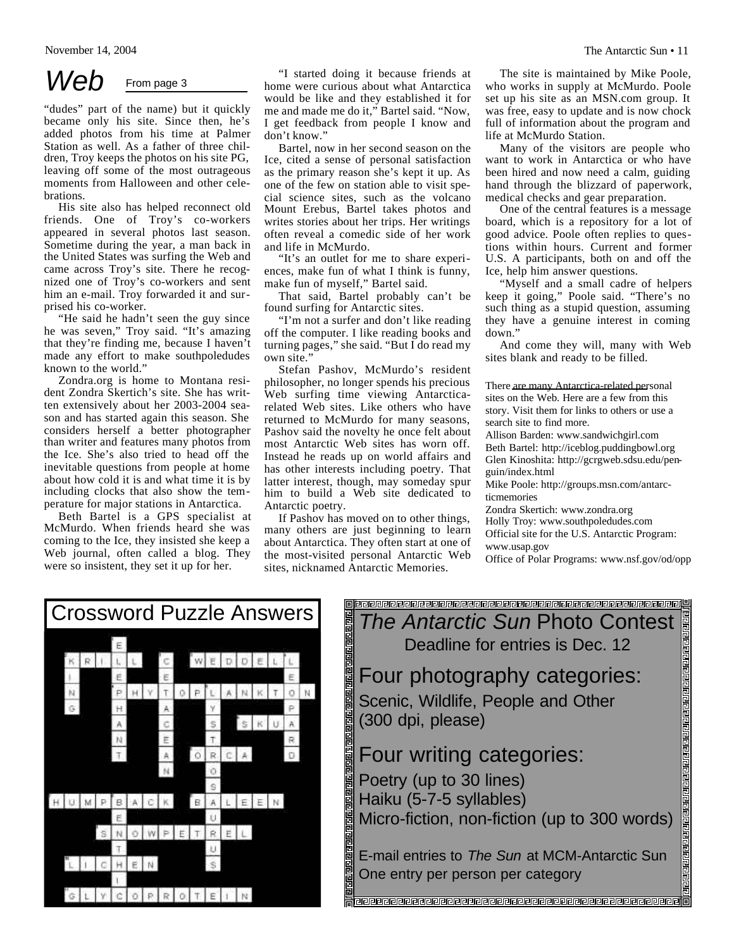### Web From page 3

"dudes" part of the name) but it quickly became only his site. Since then, he's added photos from his time at Palmer Station as well. As a father of three children, Troy keeps the photos on his site PG, leaving off some of the most outrageous moments from Halloween and other celebrations.

His site also has helped reconnect old friends. One of Troy's co-workers appeared in several photos last season. Sometime during the year, a man back in the United States was surfing the Web and came across Troy's site. There he recognized one of Troy's co-workers and sent him an e-mail. Troy forwarded it and surprised his co-worker.

"He said he hadn't seen the guy since he was seven," Troy said. "It's amazing that they're finding me, because I haven't made any effort to make southpoledudes known to the world."

Zondra.org is home to Montana resident Zondra Skertich's site. She has written extensively about her 2003-2004 season and has started again this season. She considers herself a better photographer than writer and features many photos from the Ice. She's also tried to head off the inevitable questions from people at home about how cold it is and what time it is by including clocks that also show the temperature for major stations in Antarctica.

Beth Bartel is a GPS specialist at McMurdo. When friends heard she was coming to the Ice, they insisted she keep a Web journal, often called a blog. They were so insistent, they set it up for her.

"I started doing it because friends at home were curious about what Antarctica would be like and they established it for me and made me do it," Bartel said. "Now, I get feedback from people I know and don't know."

Bartel, now in her second season on the Ice, cited a sense of personal satisfaction as the primary reason she's kept it up. As one of the few on station able to visit special science sites, such as the volcano Mount Erebus, Bartel takes photos and writes stories about her trips. Her writings often reveal a comedic side of her work and life in McMurdo.

"It's an outlet for me to share experiences, make fun of what I think is funny, make fun of myself," Bartel said.

That said, Bartel probably can't be found surfing for Antarctic sites.

"I'm not a surfer and don't like reading off the computer. I like reading books and turning pages," she said. "But  $\overline{I}$  do read my own site.'

Stefan Pashov, McMurdo's resident philosopher, no longer spends his precious Web surfing time viewing Antarcticarelated Web sites. Like others who have returned to McMurdo for many seasons, Pashov said the novelty he once felt about most Antarctic Web sites has worn off. Instead he reads up on world affairs and has other interests including poetry. That latter interest, though, may someday spur him to build a Web site dedicated to Antarctic poetry.

If Pashov has moved on to other things, many others are just beginning to learn about Antarctica. They often start at one of the most-visited personal Antarctic Web sites, nicknamed Antarctic Memories.

The site is maintained by Mike Poole, who works in supply at McMurdo. Poole set up his site as an MSN.com group. It was free, easy to update and is now chock full of information about the program and life at McMurdo Station.

Many of the visitors are people who want to work in Antarctica or who have been hired and now need a calm, guiding hand through the blizzard of paperwork, medical checks and gear preparation.

One of the central features is a message board, which is a repository for a lot of good advice. Poole often replies to questions within hours. Current and former U.S. A participants, both on and off the Ice, help him answer questions.

"Myself and a small cadre of helpers keep it going," Poole said. "There's no such thing as a stupid question, assuming they have a genuine interest in coming down."

And come they will, many with Web sites blank and ready to be filled.

#### There are many Antarctica-related personal

sites on the Web. Here are a few from this story. Visit them for links to others or use a search site to find more.

Allison Barden: www.sandwichgirl.com Beth Bartel: http://iceblog.puddingbowl.org Glen Kinoshita: http://gcrgweb.sdsu.edu/penguin/index.html

Mike Poole: http://groups.msn.com/antarcticmemories

Zondra Skertich: www.zondra.org Holly Troy: www.southpoledudes.com Official site for the U.S. Antarctic Program: www.usap.gov

Office of Polar Programs: www.nsf.gov/od/opp